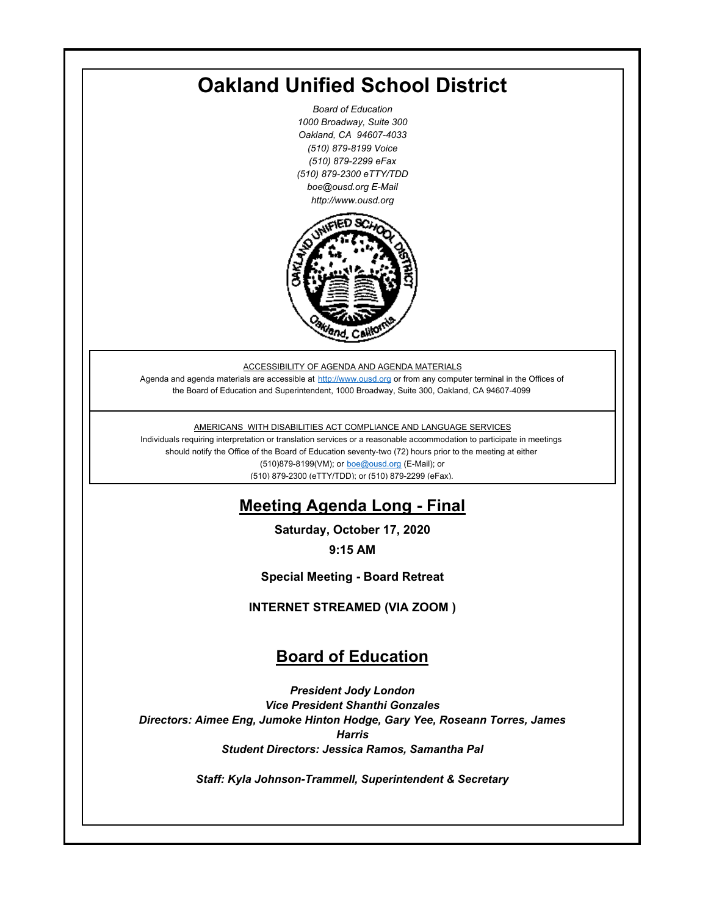# **Oakland Unified School District**

*Board of Education 1000 Broadway, Suite 300 Oakland, CA 94607-4033 (510) 879-8199 Voice (510) 879-2299 eFax (510) 879-2300 eTTY/TDD boe@ousd.org E-Mail http://www.ousd.org*



ACCESSIBILITY OF AGENDA AND AGENDA MATERIALS

Agenda and agenda materials are accessible at http://www.ousd.org or from any computer terminal in the Offices of the Board of Education and Superintendent, 1000 Broadway, Suite 300, Oakland, CA 94607-4099

AMERICANS WITH DISABILITIES ACT COMPLIANCE AND LANGUAGE SERVICES

Individuals requiring interpretation or translation services or a reasonable accommodation to participate in meetings should notify the Office of the Board of Education seventy-two (72) hours prior to the meeting at either (510)879-8199(VM); or boe@ousd.org (E-Mail); or (510) 879-2300 (eTTY/TDD); or (510) 879-2299 (eFax).

# **Meeting Agenda Long - Final**

**Saturday, October 17, 2020**

**9:15 AM**

**Special Meeting - Board Retreat**

**INTERNET STREAMED (VIA ZOOM )**

# **Board of Education**

*President Jody London Vice President Shanthi Gonzales Directors: Aimee Eng, Jumoke Hinton Hodge, Gary Yee, Roseann Torres, James Harris Student Directors: Jessica Ramos, Samantha Pal*

*Staff: Kyla Johnson-Trammell, Superintendent & Secretary*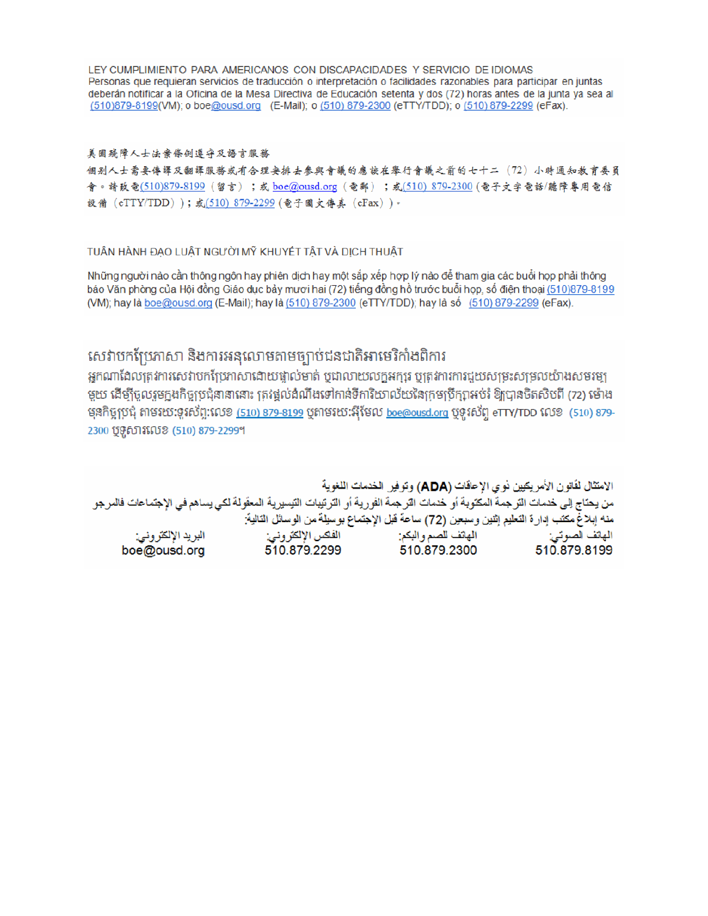LEY CUMPLIMIENTO PARA AMERICANOS CON DISCAPACIDADES Y SERVICIO DE IDIOMAS Personas que requieran servicios de traducción o interpretación o facilidades razonables para participar en juntas deberán notificar a la Oficina de la Mesa Directiva de Educación setenta y dos (72) horas antes de la junta ya sea al (510)879-8199(VM); o boe@ousd.org (E-Mail); o (510) 879-2300 (eTTY/TDD); o (510) 879-2299 (eFax).

#### 美国残障人士法案條例遵守及語言服務

個别人士需要傳譯及翻譯服務或有合理安排去參與會議的應該在舉行會議之前的七十二(72)小時通知教育委員 會。請致電(510)879-8199(留言);或 boe@ousd.org (電郵) ;或(510) 879-2300 (電子文字電話/聽障專用電信 設備 (eTTY/TDD));或(510) 879-2299 (電子圖文傳真 (eFax))。

#### TUẦN HÀNH ĐẠO LUẬT NGƯỜI MỸ KHUYẾT TẤT VÀ DỊCH THUẬT

Những người nào cần thông ngôn hay phiên dịch hay một sắp xếp hợp lý nào để tham gia các buổi họp phải thông báo Văn phòng của Hội đồng Giáo dục bảy mươi hai (72) tiếng đồng hồ trước buổi họp, số điện thoại (510)879-8199 (VM); hay là boe@ousd.org (E-Mail); hay là (510) 879-2300 (eTTY/TDD); hay là số (510) 879-2299 (eFax).

### សេវាបកប្រែភាសា និងការអនុលោមតាមច្បាប់ជនជាតិអាមេរិកាំងពិការ

អកណាដែលត្រូវការសេវាបកប្រែភាសាដោយផ្ទាល់មាត់ ឬជាលាយលក្ខអក្សរ ឬត្រូវការការជួយសម្រះសម្រលយ៉ាងសមរម្យ មួយ ដើម្បីចូលរួមក្នុងកិច្ចប្រជុំនានានោះ ត្រវង្គល់ដំណឹងទៅកាន់ទីការិយាល័យនៃក្រមប្រឹក្សាអប់រំ ឱ្យបានចិតសិបពី (72) ម៉ោង មុនកិច្ចប្រជុំ តាមរយៈទូរស័ព្ទ:លេខ <u>(510) 879-8199</u> បុតាមរយៈអ៊ីមែល <u>boe@ousd.org</u> បុទូរស័ព្ទ eTTY/TDD លេខ (510) 879-2300 ប៊ូទូសារលេខ (510) 879-2299។

الامتثال لقانون الأمريكيين نو ي الإحاقات (ADA) وتوفير الخدمات اللغوية من يحتاج إلى خدمات الترجمة المكتوبة أو خدمات الترجمة الفورية أو الترتيبات التيسيرية المعفّولة لكي يساهم في الإجتماعات فالمرجو منه إبلاغ مكتب إدارة التعليم إثنين وسبعين (72) ساعة قبل الإجتماع بوسيلة من الوسائل التالية: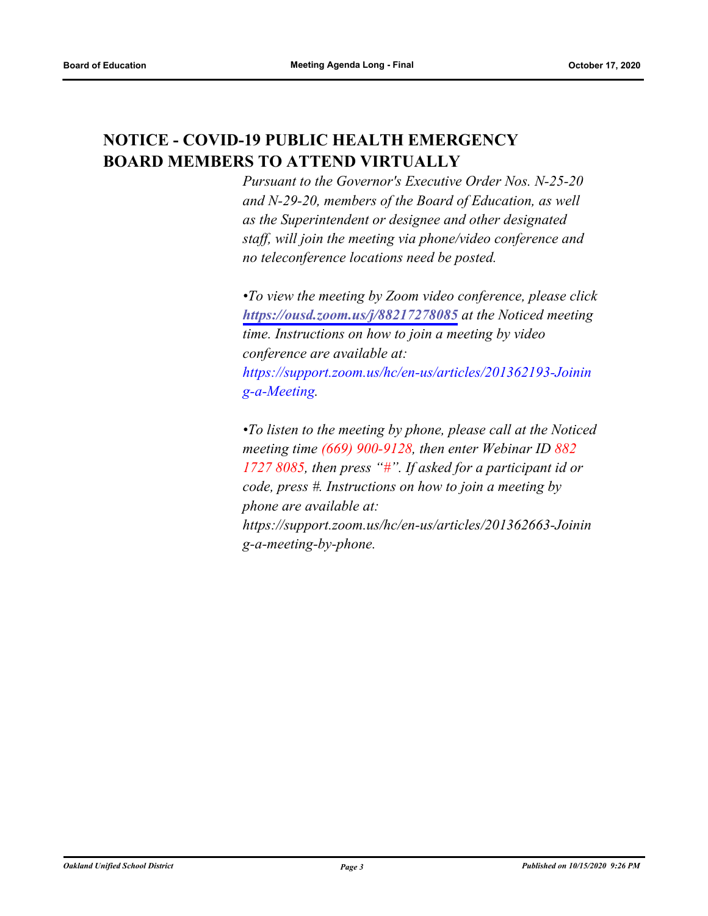# **NOTICE - COVID-19 PUBLIC HEALTH EMERGENCY BOARD MEMBERS TO ATTEND VIRTUALLY**

*Pursuant to the Governor's Executive Order Nos. N-25-20 and N-29-20, members of the Board of Education, as well as the Superintendent or designee and other designated staff, will join the meeting via phone/video conference and no teleconference locations need be posted.*

*•To view the meeting by Zoom video conference, please click <https://ousd.zoom.us/j/88217278085> at the Noticed meeting time. Instructions on how to join a meeting by video conference are available at: https://support.zoom.us/hc/en-us/articles/201362193-Joinin g-a-Meeting.*

*•To listen to the meeting by phone, please call at the Noticed meeting time (669) 900-9128, then enter Webinar ID 882 1727 8085, then press "#". If asked for a participant id or code, press #. Instructions on how to join a meeting by phone are available at: https://support.zoom.us/hc/en-us/articles/201362663-Joinin g-a-meeting-by-phone.*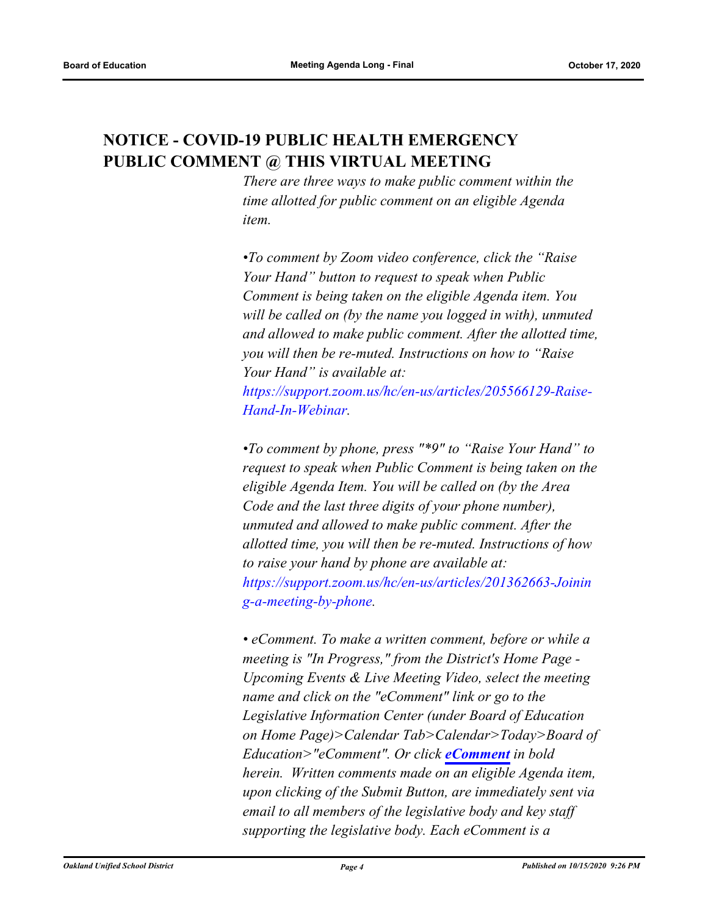# **NOTICE - COVID-19 PUBLIC HEALTH EMERGENCY PUBLIC COMMENT @ THIS VIRTUAL MEETING**

*There are three ways to make public comment within the time allotted for public comment on an eligible Agenda item.*

*•To comment by Zoom video conference, click the "Raise Your Hand" button to request to speak when Public Comment is being taken on the eligible Agenda item. You will be called on (by the name you logged in with), unmuted and allowed to make public comment. After the allotted time, you will then be re-muted. Instructions on how to "Raise Your Hand" is available at: https://support.zoom.us/hc/en-us/articles/205566129-Raise-Hand-In-Webinar.*

*•To comment by phone, press "\*9" to "Raise Your Hand" to request to speak when Public Comment is being taken on the eligible Agenda Item. You will be called on (by the Area Code and the last three digits of your phone number), unmuted and allowed to make public comment. After the allotted time, you will then be re-muted. Instructions of how to raise your hand by phone are available at: https://support.zoom.us/hc/en-us/articles/201362663-Joinin g-a-meeting-by-phone.*

*• eComment. To make a written comment, before or while a meeting is "In Progress," from the District's Home Page - Upcoming Events & Live Meeting Video, select the meeting name and click on the "eComment" link or go to the Legislative Information Center (under Board of Education on Home Page)>Calendar Tab>Calendar>Today>Board of Education>"eComment". Or click [eComment](https://ousd.granicusideas.com/meetings/2033-board-of-education-on-2020-10-17-9-15-am-special-meeting-board-retreat) in bold herein. Written comments made on an eligible Agenda item, upon clicking of the Submit Button, are immediately sent via email to all members of the legislative body and key staff supporting the legislative body. Each eComment is a*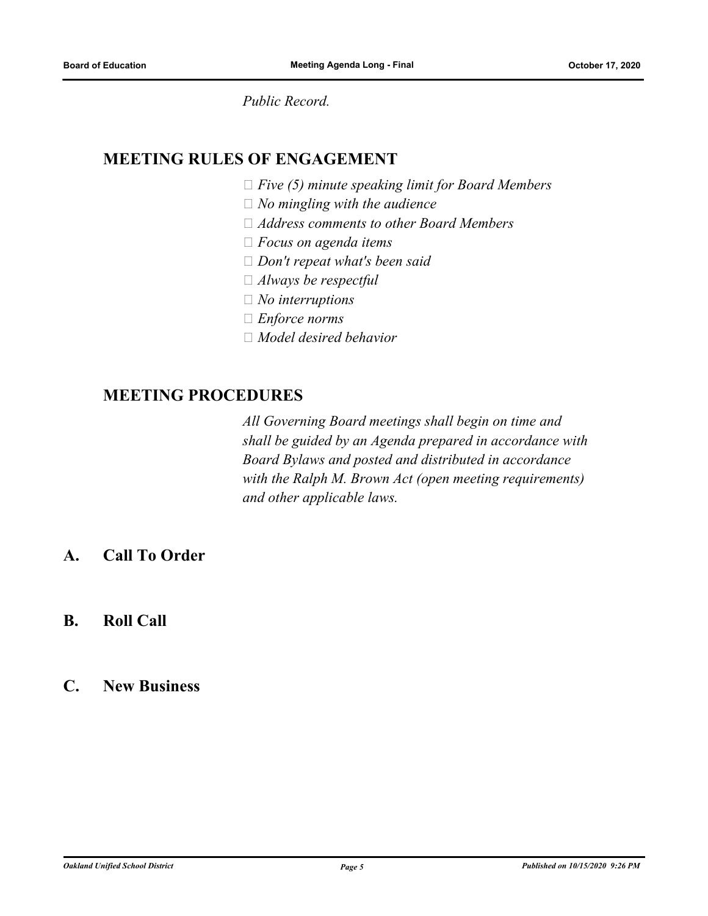*Public Record.*

### **MEETING RULES OF ENGAGEMENT**

 *Five (5) minute speaking limit for Board Members*

- *No mingling with the audience*
- *Address comments to other Board Members*
- *Focus on agenda items*
- *Don't repeat what's been said*
- *Always be respectful*
- *No interruptions*
- *Enforce norms*
- *Model desired behavior*

### **MEETING PROCEDURES**

*All Governing Board meetings shall begin on time and shall be guided by an Agenda prepared in accordance with Board Bylaws and posted and distributed in accordance with the Ralph M. Brown Act (open meeting requirements) and other applicable laws.*

- **A. Call To Order**
- **B. Roll Call**

### **C. New Business**